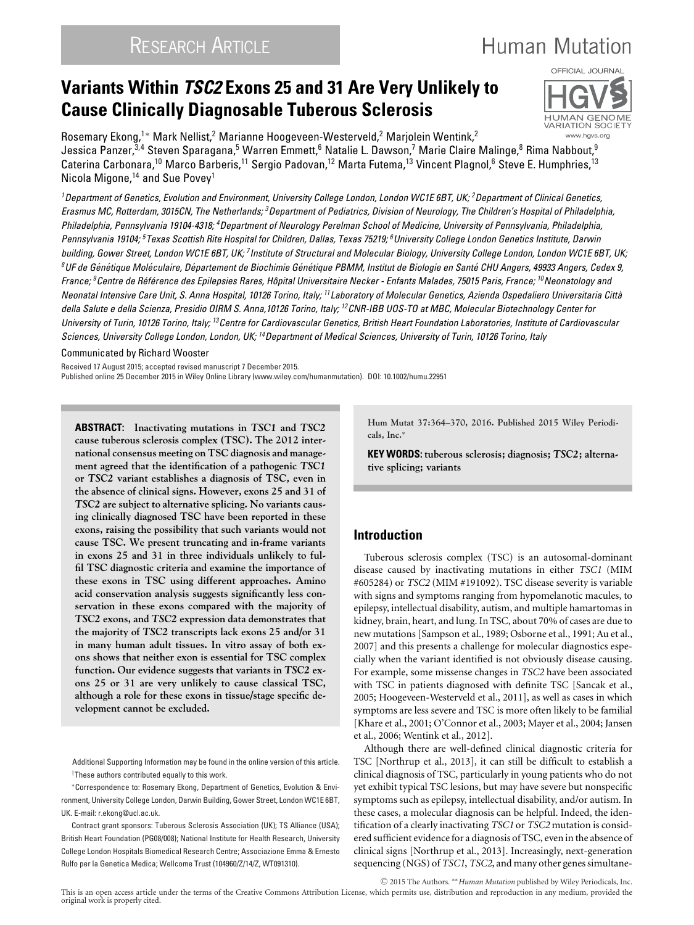# **Variants Within** *TSC2* **Exons 25 and 31 Are Very Unlikely to Cause Clinically Diagnosable Tuberous Sclerosis**

Rosemary Ekong,<sup>1</sup>\* Mark Nellist,<sup>2</sup> Marianne Hoogeveen-Westerveld,<sup>2</sup> Marjolein Wentink,<sup>2</sup> Jessica Panzer,<sup>3,4</sup> Steven Sparagana,<sup>5</sup> Warren Emmett,<sup>6</sup> Natalie L. Dawson,<sup>7</sup> Marie Claire Malinge,<sup>8</sup> Rima Nabbout,<sup>9</sup> Caterina Carbonara,<sup>10</sup> Marco Barberis,<sup>11</sup> Sergio Padovan,<sup>12</sup> Marta Futema,<sup>13</sup> Vincent Plagnol,<sup>6</sup> Steve E. Humphries,<sup>13</sup> Nicola Migone,<sup>14</sup> and Sue Povey<sup>1</sup>

*1Department of Genetics, Evolution and Environment, University College London, London WC1E 6BT, UK; 2Department of Clinical Genetics, Erasmus MC, Rotterdam, 3015CN, The Netherlands; 3Department of Pediatrics, Division of Neurology, The Children's Hospital of Philadelphia, Philadelphia, Pennsylvania 19104-4318; 4Department of Neurology Perelman School of Medicine, University of Pennsylvania, Philadelphia, Pennsylvania 19104; 5Texas Scottish Rite Hospital for Children, Dallas, Texas 75219; 6University College London Genetics Institute, Darwin building, Gower Street, London WC1E 6BT, UK; 7Institute of Structural and Molecular Biology, University College London, London WC1E 6BT, UK;* <sup>8</sup>UF de Génétique Moléculaire, Département de Biochimie Génétique PBMM, Institut de Biologie en Santé CHU Angers, 49933 Angers, Cedex 9, *France; 9Centre de Ref´ erence des Epilepsies Rares, H ´ opital Universitaire Necker - Enfants Malades, 75015 Paris, France; ˆ 10Neonatology and Neonatal Intensive Care Unit, S. Anna Hospital, 10126 Torino, Italy; 11Laboratory of Molecular Genetics, Azienda Ospedaliero Universitaria Citta` della Salute e della Scienza, Presidio OIRM S. Anna,10126 Torino, Italy; 12CNR-IBB UOS-TO at MBC, Molecular Biotechnology Center for University of Turin, 10126 Torino, Italy; 13Centre for Cardiovascular Genetics, British Heart Foundation Laboratories, Institute of Cardiovascular Sciences, University College London, London, UK; 14Department of Medical Sciences, University of Turin, 10126 Torino, Italy*

Communicated by Richard Wooster

Received 17 August 2015; accepted revised manuscript 7 December 2015. Published online 25 December 2015 in Wiley Online Library (www.wiley.com/humanmutation). DOI: 10.1002/humu.22951

**ABSTRACT: Inactivating mutations in** *TSC1* **and** *TSC2* **cause tuberous sclerosis complex (TSC). The 2012 international consensus meeting on TSC diagnosis and management agreed that the identification of a pathogenic** *TSC1* **or** *TSC2* **variant establishes a diagnosis of TSC, even in the absence of clinical signs. However, exons 25 and 31 of** *TSC2* **are subject to alternative splicing. No variants causing clinically diagnosed TSC have been reported in these exons, raising the possibility that such variants would not cause TSC. We present truncating and in-frame variants in exons 25 and 31 in three individuals unlikely to fulfil TSC diagnostic criteria and examine the importance of these exons in TSC using different approaches. Amino acid conservation analysis suggests significantly less conservation in these exons compared with the majority of** *TSC2* **exons, and** *TSC2* **expression data demonstrates that the majority of** *TSC2* **transcripts lack exons 25 and/or 31 in many human adult tissues. In vitro assay of both exons shows that neither exon is essential for TSC complex function. Our evidence suggests that variants in** *TSC2* **exons 25 or 31 are very unlikely to cause classical TSC, although a role for these exons in tissue/stage specific development cannot be excluded.**

Additional Supporting Information may be found in the online version of this article. †These authors contributed equally to this work.

∗Correspondence to: Rosemary Ekong, Department of Genetics, Evolution & Environment, University College London, Darwin Building, Gower Street, London WC1E 6BT, UK. E-mail: r.ekong@ucl.ac.uk.

Contract grant sponsors: Tuberous Sclerosis Association (UK); TS Alliance (USA); British Heart Foundation (PG08/008); National Institute for Health Research, University College London Hospitals Biomedical Research Centre; Associazione Emma & Ernesto Rulfo per la Genetica Medica; Wellcome Trust (104960/Z/14/Z, WT091310).

**Hum Mutat 37:364–370, 2016. Published 2015 Wiley Periodicals, Inc.**<sup>∗</sup>

**KEY WORDS: tuberous sclerosis; diagnosis;** *TSC2***; alternative splicing; variants**

## **Introduction**

Tuberous sclerosis complex (TSC) is an autosomal-dominant disease caused by inactivating mutations in either *TSC1* (MIM #605284) or *TSC2* (MIM #191092). TSC disease severity is variable with signs and symptoms ranging from hypomelanotic macules, to epilepsy, intellectual disability, autism, and multiple hamartomas in kidney, brain, heart, and lung. In TSC, about 70% of cases are due to new mutations [Sampson et al., 1989; Osborne et al., 1991; Au et al., 2007] and this presents a challenge for molecular diagnostics especially when the variant identified is not obviously disease causing. For example, some missense changes in *TSC2* have been associated with TSC in patients diagnosed with definite TSC [Sancak et al., 2005; Hoogeveen-Westerveld et al., 2011], as well as cases in which symptoms are less severe and TSC is more often likely to be familial [Khare et al., 2001; O'Connor et al., 2003; Mayer et al., 2004; Jansen et al., 2006; Wentink et al., 2012].

Although there are well-defined clinical diagnostic criteria for TSC [Northrup et al., 2013], it can still be difficult to establish a clinical diagnosis of TSC, particularly in young patients who do not yet exhibit typical TSC lesions, but may have severe but nonspecific symptoms such as epilepsy, intellectual disability, and/or autism. In these cases, a molecular diagnosis can be helpful. Indeed, the identification of a clearly inactivating *TSC1* or *TSC2* mutation is considered sufficient evidence for a diagnosis of TSC, even in the absence of clinical signs [Northrup et al., 2013]. Increasingly, next-generation sequencing (NGS) of *TSC1*, *TSC2*, and many other genes simultane-

<sup>C</sup> 2015 The Authors. ∗∗*Human Mutation* published by Wiley Periodicals, Inc.



**Human Mutation**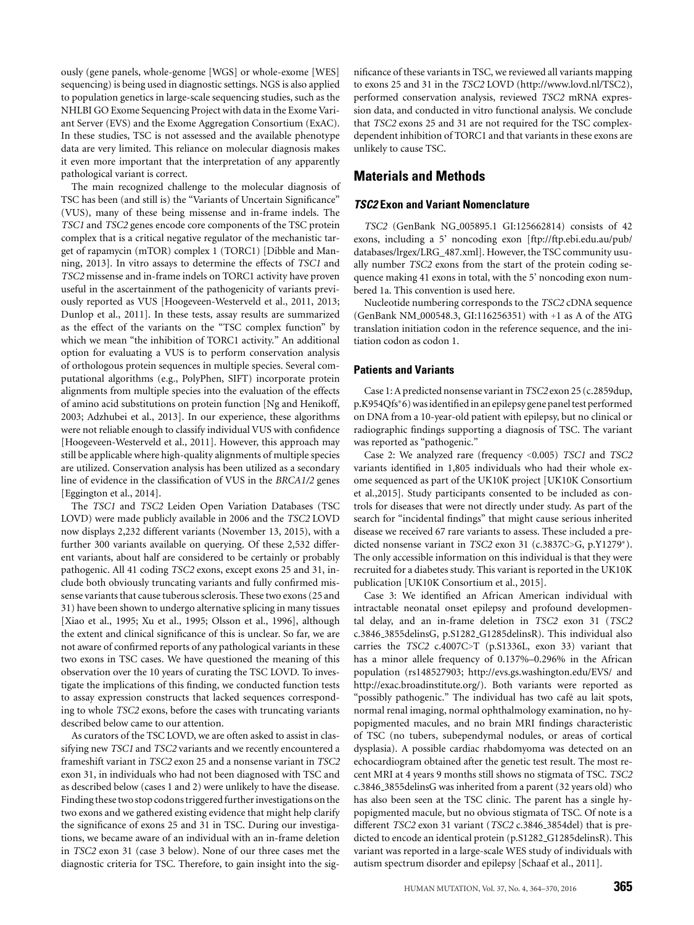ously (gene panels, whole-genome [WGS] or whole-exome [WES] sequencing) is being used in diagnostic settings. NGS is also applied to population genetics in large-scale sequencing studies, such as the NHLBI GO Exome Sequencing Project with data in the Exome Variant Server (EVS) and the Exome Aggregation Consortium (ExAC). In these studies, TSC is not assessed and the available phenotype data are very limited. This reliance on molecular diagnosis makes it even more important that the interpretation of any apparently pathological variant is correct.

The main recognized challenge to the molecular diagnosis of TSC has been (and still is) the "Variants of Uncertain Significance" (VUS), many of these being missense and in-frame indels. The *TSC1* and *TSC2* genes encode core components of the TSC protein complex that is a critical negative regulator of the mechanistic target of rapamycin (mTOR) complex 1 (TORC1) [Dibble and Manning, 2013]. In vitro assays to determine the effects of *TSC1* and *TSC2* missense and in-frame indels on TORC1 activity have proven useful in the ascertainment of the pathogenicity of variants previously reported as VUS [Hoogeveen-Westerveld et al., 2011, 2013; Dunlop et al., 2011]. In these tests, assay results are summarized as the effect of the variants on the "TSC complex function" by which we mean "the inhibition of TORC1 activity." An additional option for evaluating a VUS is to perform conservation analysis of orthologous protein sequences in multiple species. Several computational algorithms (e.g., PolyPhen, SIFT) incorporate protein alignments from multiple species into the evaluation of the effects of amino acid substitutions on protein function [Ng and Henikoff, 2003; Adzhubei et al., 2013]. In our experience, these algorithms were not reliable enough to classify individual VUS with confidence [Hoogeveen-Westerveld et al., 2011]. However, this approach may still be applicable where high-quality alignments of multiple species are utilized. Conservation analysis has been utilized as a secondary line of evidence in the classification of VUS in the *BRCA1/2* genes [Eggington et al., 2014].

The *TSC1* and *TSC2* Leiden Open Variation Databases (TSC LOVD) were made publicly available in 2006 and the *TSC2* LOVD now displays 2,232 different variants (November 13, 2015), with a further 300 variants available on querying. Of these 2,532 different variants, about half are considered to be certainly or probably pathogenic. All 41 coding *TSC2* exons, except exons 25 and 31, include both obviously truncating variants and fully confirmed missense variants that cause tuberous sclerosis. These two exons (25 and 31) have been shown to undergo alternative splicing in many tissues [Xiao et al., 1995; Xu et al., 1995; Olsson et al., 1996], although the extent and clinical significance of this is unclear. So far, we are not aware of confirmed reports of any pathological variants in these two exons in TSC cases. We have questioned the meaning of this observation over the 10 years of curating the TSC LOVD. To investigate the implications of this finding, we conducted function tests to assay expression constructs that lacked sequences corresponding to whole *TSC2* exons, before the cases with truncating variants described below came to our attention.

As curators of the TSC LOVD, we are often asked to assist in classifying new *TSC1* and *TSC2* variants and we recently encountered a frameshift variant in *TSC2* exon 25 and a nonsense variant in *TSC2* exon 31, in individuals who had not been diagnosed with TSC and as described below (cases 1 and 2) were unlikely to have the disease. Finding these two stop codons triggered further investigations on the two exons and we gathered existing evidence that might help clarify the significance of exons 25 and 31 in TSC. During our investigations, we became aware of an individual with an in-frame deletion in *TSC2* exon 31 (case 3 below). None of our three cases met the diagnostic criteria for TSC. Therefore, to gain insight into the significance of these variants in TSC, we reviewed all variants mapping to exons 25 and 31 in the *TSC2* LOVD [\(http://www.lovd.nl/TSC2\)](http://www.lovd.nl/TSC2), performed conservation analysis, reviewed *TSC2* mRNA expression data, and conducted in vitro functional analysis. We conclude that *TSC2* exons 25 and 31 are not required for the TSC complexdependent inhibition of TORC1 and that variants in these exons are unlikely to cause TSC.

# **Materials and Methods**

## *TSC2* **Exon and Variant Nomenclature**

*TSC2* (GenBank NG 005895.1 GI:125662814) consists of 42 exons, including a 5' noncoding exon [\[ftp://ftp.ebi.edu.au/pub/](http://ftp://ftp.ebi.edu.au/pub/databases/lrgex/LRG_487.xml) [databases/lrgex/LRG\\_487.xml\]](http://ftp://ftp.ebi.edu.au/pub/databases/lrgex/LRG_487.xml). However, the TSC community usually number *TSC2* exons from the start of the protein coding sequence making 41 exons in total, with the 5' noncoding exon numbered 1a. This convention is used here.

Nucleotide numbering corresponds to the *TSC2* cDNA sequence (GenBank NM 000548.3, GI:116256351) with +1 as A of the ATG translation initiation codon in the reference sequence, and the initiation codon as codon 1.

### **Patients and Variants**

Case 1: A predicted nonsense variant in*TSC2* exon 25 (c.2859dup, p.K954Qfs∗6)wasidentifiedin an epilepsy gene panel test performed on DNA from a 10-year-old patient with epilepsy, but no clinical or radiographic findings supporting a diagnosis of TSC. The variant was reported as "pathogenic."

Case 2: We analyzed rare (frequency <0.005) *TSC1* and *TSC2* variants identified in 1,805 individuals who had their whole exome sequenced as part of the UK10K project [UK10K Consortium et al.,2015]. Study participants consented to be included as controls for diseases that were not directly under study. As part of the search for "incidental findings" that might cause serious inherited disease we received 67 rare variants to assess. These included a predicted nonsense variant in *TSC2* exon 31 (c.3837C>G, p.Y1279∗). The only accessible information on this individual is that they were recruited for a diabetes study. This variant is reported in the UK10K publication [UK10K Consortium et al., 2015].

Case 3: We identified an African American individual with intractable neonatal onset epilepsy and profound developmental delay, and an in-frame deletion in *TSC2* exon 31 (*TSC2* c.3846 3855delinsG, p.S1282 G1285delinsR). This individual also carries the *TSC2* c.4007C>T (p.S1336L, exon 33) variant that has a minor allele frequency of 0.137%–0.296% in the African population (rs148527903;<http://evs.gs.washington.edu/EVS/> and [http://exac.broadinstitute.org/\)](http://exac.broadinstitute.org/). Both variants were reported as "possibly pathogenic." The individual has two café au lait spots, normal renal imaging, normal ophthalmology examination, no hypopigmented macules, and no brain MRI findings characteristic of TSC (no tubers, subependymal nodules, or areas of cortical dysplasia). A possible cardiac rhabdomyoma was detected on an echocardiogram obtained after the genetic test result. The most recent MRI at 4 years 9 months still shows no stigmata of TSC. *TSC2* c.3846 3855delinsG was inherited from a parent (32 years old) who has also been seen at the TSC clinic. The parent has a single hypopigmented macule, but no obvious stigmata of TSC. Of note is a different *TSC2* exon 31 variant (*TSC2* c.3846 3854del) that is predicted to encode an identical protein (p.S1282 G1285delinsR). This variant was reported in a large-scale WES study of individuals with autism spectrum disorder and epilepsy [Schaaf et al., 2011].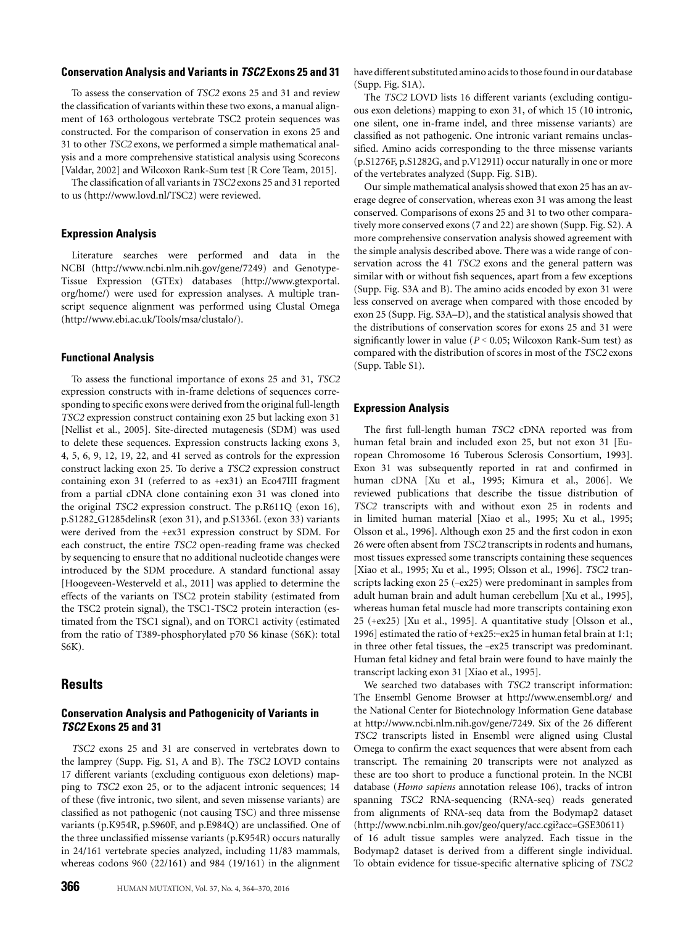## **Conservation Analysis and Variants in** *TSC2* **Exons 25 and 31**

To assess the conservation of *TSC2* exons 25 and 31 and review the classification of variants within these two exons, a manual alignment of 163 orthologous vertebrate TSC2 protein sequences was constructed. For the comparison of conservation in exons 25 and 31 to other *TSC2* exons, we performed a simple mathematical analysis and a more comprehensive statistical analysis using Scorecons [Valdar, 2002] and Wilcoxon Rank-Sum test [R Core Team, 2015].

The classification of all variants in *TSC2* exons 25 and 31 reported to us [\(http://www.lovd.nl/TSC2\)](http://www.lovd.nl/TSC2) were reviewed.

#### **Expression Analysis**

Literature searches were performed and data in the NCBI [\(http://www.ncbi.nlm.nih.gov/gene/7249\)](http://www.ncbi.nlm.nih.gov/gene/7249) and Genotype-Tissue Expression (GTEx) databases [\(http://www.gtexportal.](http://www.gtexportal.org/home/) [org/home/\)](http://www.gtexportal.org/home/) were used for expression analyses. A multiple transcript sequence alignment was performed using Clustal Omega [\(http://www.ebi.ac.uk/Tools/msa/clustalo/\)](http://www.ebi.ac.uk/Tools/msa/clustalo/).

#### **Functional Analysis**

To assess the functional importance of exons 25 and 31, *TSC2* expression constructs with in-frame deletions of sequences corresponding to specific exons were derived from the original full-length *TSC2* expression construct containing exon 25 but lacking exon 31 [Nellist et al., 2005]. Site-directed mutagenesis (SDM) was used to delete these sequences. Expression constructs lacking exons 3, 4, 5, 6, 9, 12, 19, 22, and 41 served as controls for the expression construct lacking exon 25. To derive a *TSC2* expression construct containing exon 31 (referred to as +ex31) an Eco47III fragment from a partial cDNA clone containing exon 31 was cloned into the original *TSC2* expression construct. The p.R611Q (exon 16), p.S1282 G1285delinsR (exon 31), and p.S1336L (exon 33) variants were derived from the +ex31 expression construct by SDM. For each construct, the entire *TSC2* open-reading frame was checked by sequencing to ensure that no additional nucleotide changes were introduced by the SDM procedure. A standard functional assay [Hoogeveen-Westerveld et al., 2011] was applied to determine the effects of the variants on TSC2 protein stability (estimated from the TSC2 protein signal), the TSC1-TSC2 protein interaction (estimated from the TSC1 signal), and on TORC1 activity (estimated from the ratio of T389-phosphorylated p70 S6 kinase (S6K): total S6K).

#### **Results**

## **Conservation Analysis and Pathogenicity of Variants in** *TSC2* **Exons 25 and 31**

*TSC2* exons 25 and 31 are conserved in vertebrates down to the lamprey (Supp. Fig. S1, A and B). The *TSC2* LOVD contains 17 different variants (excluding contiguous exon deletions) mapping to *TSC2* exon 25, or to the adjacent intronic sequences; 14 of these (five intronic, two silent, and seven missense variants) are classified as not pathogenic (not causing TSC) and three missense variants (p.K954R, p.S960F, and p.E984Q) are unclassified. One of the three unclassified missense variants (p.K954R) occurs naturally in 24/161 vertebrate species analyzed, including 11/83 mammals, whereas codons 960 (22/161) and 984 (19/161) in the alignment

have different substituted amino acids to those found in our database (Supp. Fig. S1A).

The *TSC2* LOVD lists 16 different variants (excluding contiguous exon deletions) mapping to exon 31, of which 15 (10 intronic, one silent, one in-frame indel, and three missense variants) are classified as not pathogenic. One intronic variant remains unclassified. Amino acids corresponding to the three missense variants (p.S1276F, p.S1282G, and p.V1291I) occur naturally in one or more of the vertebrates analyzed (Supp. Fig. S1B).

Our simple mathematical analysis showed that exon 25 has an average degree of conservation, whereas exon 31 was among the least conserved. Comparisons of exons 25 and 31 to two other comparatively more conserved exons (7 and 22) are shown (Supp. Fig. S2). A more comprehensive conservation analysis showed agreement with the simple analysis described above. There was a wide range of conservation across the 41 *TSC2* exons and the general pattern was similar with or without fish sequences, apart from a few exceptions (Supp. Fig. S3A and B). The amino acids encoded by exon 31 were less conserved on average when compared with those encoded by exon 25 (Supp. Fig. S3A–D), and the statistical analysis showed that the distributions of conservation scores for exons 25 and 31 were significantly lower in value (*P* < 0.05; Wilcoxon Rank-Sum test) as compared with the distribution of scores in most of the *TSC2* exons (Supp. Table S1).

#### **Expression Analysis**

The first full-length human *TSC2* cDNA reported was from human fetal brain and included exon 25, but not exon 31 [European Chromosome 16 Tuberous Sclerosis Consortium, 1993]. Exon 31 was subsequently reported in rat and confirmed in human cDNA [Xu et al., 1995; Kimura et al., 2006]. We reviewed publications that describe the tissue distribution of *TSC2* transcripts with and without exon 25 in rodents and in limited human material [Xiao et al., 1995; Xu et al., 1995; Olsson et al., 1996]. Although exon 25 and the first codon in exon 26 were often absent from *TSC2* transcripts in rodents and humans, most tissues expressed some transcripts containing these sequences [Xiao et al., 1995; Xu et al., 1995; Olsson et al., 1996]. *TSC2* transcripts lacking exon 25 (–ex25) were predominant in samples from adult human brain and adult human cerebellum [Xu et al., 1995], whereas human fetal muscle had more transcripts containing exon 25 (+ex25) [Xu et al., 1995]. A quantitative study [Olsson et al., 1996] estimated the ratio of +ex25:–ex25 in human fetal brain at 1:1; in three other fetal tissues, the –ex25 transcript was predominant. Human fetal kidney and fetal brain were found to have mainly the transcript lacking exon 31 [Xiao et al., 1995].

We searched two databases with *TSC2* transcript information: The Ensembl Genome Browser at<http://www.ensembl.org/> and the National Center for Biotechnology Information Gene database at [http://www.ncbi.nlm.nih.gov/gene/7249.](http://www.ncbi.nlm.nih.gov/gene/7249) Six of the 26 different *TSC2* transcripts listed in Ensembl were aligned using Clustal Omega to confirm the exact sequences that were absent from each transcript. The remaining 20 transcripts were not analyzed as these are too short to produce a functional protein. In the NCBI database (*Homo sapiens* annotation release 106), tracks of intron spanning *TSC2* RNA-sequencing (RNA-seq) reads generated from alignments of RNA-seq data from the Bodymap2 dataset [\(http://www.ncbi.nlm.nih.gov/geo/query/acc.cgi?acc=GSE30611\)](http://www.ncbi.nlm.nih.gov/geo/query/acc.cgi?acc=GSE30611) of 16 adult tissue samples were analyzed. Each tissue in the Bodymap2 dataset is derived from a different single individual. To obtain evidence for tissue-specific alternative splicing of *TSC2*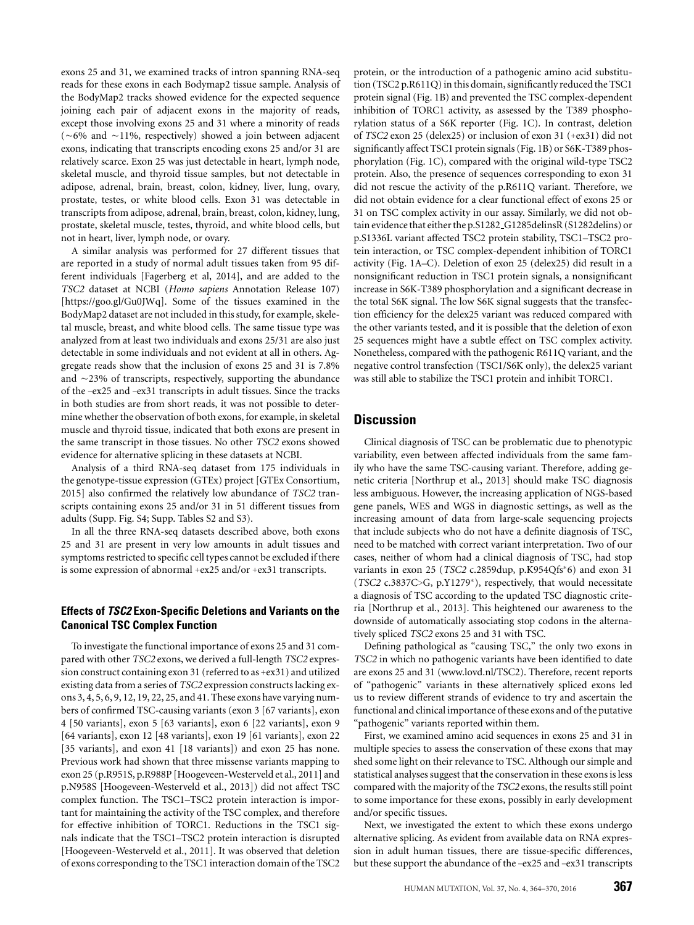exons 25 and 31, we examined tracks of intron spanning RNA-seq reads for these exons in each Bodymap2 tissue sample. Analysis of the BodyMap2 tracks showed evidence for the expected sequence joining each pair of adjacent exons in the majority of reads, except those involving exons 25 and 31 where a minority of reads  $(\sim 6\%$  and  $\sim 11\%$ , respectively) showed a join between adjacent exons, indicating that transcripts encoding exons 25 and/or 31 are relatively scarce. Exon 25 was just detectable in heart, lymph node, skeletal muscle, and thyroid tissue samples, but not detectable in adipose, adrenal, brain, breast, colon, kidney, liver, lung, ovary, prostate, testes, or white blood cells. Exon 31 was detectable in transcripts from adipose, adrenal, brain, breast, colon, kidney, lung, prostate, skeletal muscle, testes, thyroid, and white blood cells, but not in heart, liver, lymph node, or ovary.

A similar analysis was performed for 27 different tissues that are reported in a study of normal adult tissues taken from 95 different individuals [Fagerberg et al, 2014], and are added to the *TSC2* dataset at NCBI (*Homo sapiens* Annotation Release 107) [\[https://goo.gl/Gu0JWq\]](https://goo.gl/Gu0JWq). Some of the tissues examined in the BodyMap2 dataset are not included in this study, for example, skeletal muscle, breast, and white blood cells. The same tissue type was analyzed from at least two individuals and exons 25/31 are also just detectable in some individuals and not evident at all in others. Aggregate reads show that the inclusion of exons 25 and 31 is 7.8% and  $\sim$ 23% of transcripts, respectively, supporting the abundance of the –ex25 and –ex31 transcripts in adult tissues. Since the tracks in both studies are from short reads, it was not possible to determine whether the observation of both exons, for example, in skeletal muscle and thyroid tissue, indicated that both exons are present in the same transcript in those tissues. No other *TSC2* exons showed evidence for alternative splicing in these datasets at NCBI.

Analysis of a third RNA-seq dataset from 175 individuals in the genotype-tissue expression (GTEx) project [GTEx Consortium, 2015] also confirmed the relatively low abundance of *TSC2* transcripts containing exons 25 and/or 31 in 51 different tissues from adults (Supp. Fig. S4; Supp. Tables S2 and S3).

In all the three RNA-seq datasets described above, both exons 25 and 31 are present in very low amounts in adult tissues and symptoms restricted to specific cell types cannot be excluded if there is some expression of abnormal +ex25 and/or +ex31 transcripts.

## **Effects of** *TSC2* **Exon-Specific Deletions and Variants on the Canonical TSC Complex Function**

To investigate the functional importance of exons 25 and 31 compared with other *TSC2* exons, we derived a full-length *TSC2* expression construct containing exon 31 (referred to as +ex31) and utilized existing data from a series of *TSC2* expression constructs lacking exons 3, 4, 5, 6, 9, 12, 19, 22, 25, and 41. These exons have varying numbers of confirmed TSC-causing variants (exon 3 [67 variants], exon 4 [50 variants], exon 5 [63 variants], exon 6 [22 variants], exon 9 [64 variants], exon 12 [48 variants], exon 19 [61 variants], exon 22 [35 variants], and exon 41 [18 variants]) and exon 25 has none. Previous work had shown that three missense variants mapping to exon 25 (p.R951S, p.R988P [Hoogeveen-Westerveld et al., 2011] and p.N958S [Hoogeveen-Westerveld et al., 2013]) did not affect TSC complex function. The TSC1–TSC2 protein interaction is important for maintaining the activity of the TSC complex, and therefore for effective inhibition of TORC1. Reductions in the TSC1 signals indicate that the TSC1–TSC2 protein interaction is disrupted [Hoogeveen-Westerveld et al., 2011]. It was observed that deletion of exons corresponding to the TSC1 interaction domain of the TSC2

protein, or the introduction of a pathogenic amino acid substitution (TSC2 p.R611Q) in this domain, significantly reduced the TSC1 protein signal (Fig. 1B) and prevented the TSC complex-dependent inhibition of TORC1 activity, as assessed by the T389 phosphorylation status of a S6K reporter (Fig. 1C). In contrast, deletion of *TSC2* exon 25 (delex25) or inclusion of exon 31 (+ex31) did not significantly affect TSC1 protein signals (Fig. 1B) or S6K-T389 phosphorylation (Fig. 1C), compared with the original wild-type TSC2 protein. Also, the presence of sequences corresponding to exon 31 did not rescue the activity of the p.R611Q variant. Therefore, we did not obtain evidence for a clear functional effect of exons 25 or 31 on TSC complex activity in our assay. Similarly, we did not obtain evidence that either the p.S1282\_G1285delinsR (S1282delins) or p.S1336L variant affected TSC2 protein stability, TSC1–TSC2 protein interaction, or TSC complex-dependent inhibition of TORC1 activity (Fig. 1A–C). Deletion of exon 25 (delex25) did result in a nonsignificant reduction in TSC1 protein signals, a nonsignificant increase in S6K-T389 phosphorylation and a significant decrease in the total S6K signal. The low S6K signal suggests that the transfection efficiency for the delex25 variant was reduced compared with the other variants tested, and it is possible that the deletion of exon 25 sequences might have a subtle effect on TSC complex activity. Nonetheless, compared with the pathogenic R611Q variant, and the negative control transfection (TSC1/S6K only), the delex25 variant was still able to stabilize the TSC1 protein and inhibit TORC1.

# **Discussion**

Clinical diagnosis of TSC can be problematic due to phenotypic variability, even between affected individuals from the same family who have the same TSC-causing variant. Therefore, adding genetic criteria [Northrup et al., 2013] should make TSC diagnosis less ambiguous. However, the increasing application of NGS-based gene panels, WES and WGS in diagnostic settings, as well as the increasing amount of data from large-scale sequencing projects that include subjects who do not have a definite diagnosis of TSC, need to be matched with correct variant interpretation. Two of our cases, neither of whom had a clinical diagnosis of TSC, had stop variants in exon 25 (*TSC2* c.2859dup, p.K954Qfs∗6) and exon 31 (*TSC2* c.3837C>G, p.Y1279∗), respectively, that would necessitate a diagnosis of TSC according to the updated TSC diagnostic criteria [Northrup et al., 2013]. This heightened our awareness to the downside of automatically associating stop codons in the alternatively spliced *TSC2* exons 25 and 31 with TSC.

Defining pathological as "causing TSC," the only two exons in *TSC2* in which no pathogenic variants have been identified to date are exons 25 and 31 [\(www.lovd.nl/TSC2\)](http://www.lovd.nl/TSC2). Therefore, recent reports of "pathogenic" variants in these alternatively spliced exons led us to review different strands of evidence to try and ascertain the functional and clinical importance of these exons and of the putative "pathogenic" variants reported within them.

First, we examined amino acid sequences in exons 25 and 31 in multiple species to assess the conservation of these exons that may shed some light on their relevance to TSC. Although our simple and statistical analyses suggest that the conservation in these exons is less compared with the majority of the *TSC2* exons, the results still point to some importance for these exons, possibly in early development and/or specific tissues.

Next, we investigated the extent to which these exons undergo alternative splicing. As evident from available data on RNA expression in adult human tissues, there are tissue-specific differences, but these support the abundance of the –ex25 and –ex31 transcripts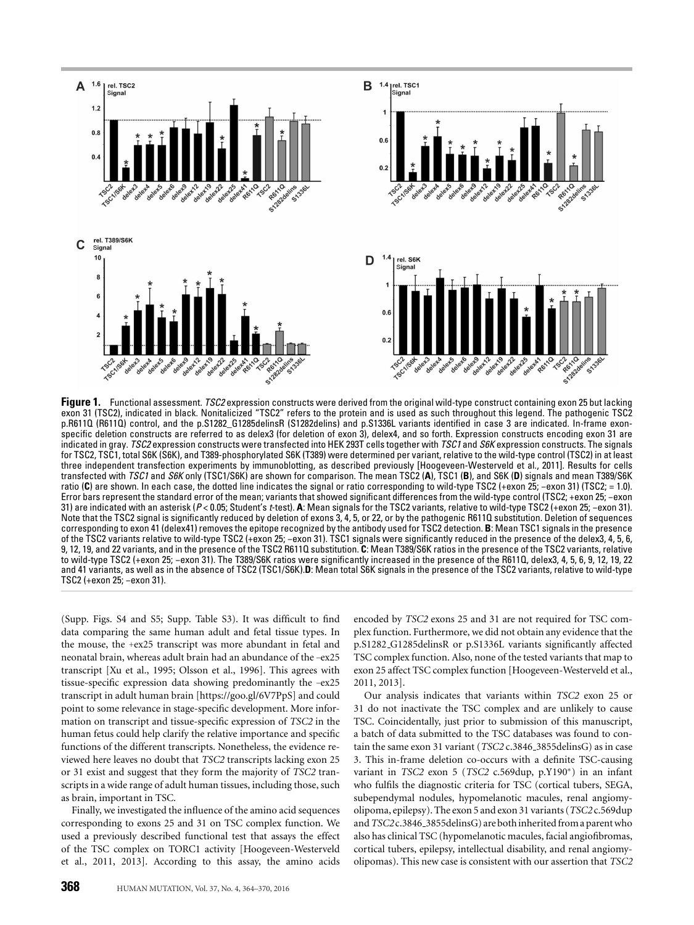

**Figure 1.** Functional assessment. *TSC2* expression constructs were derived from the original wild-type construct containing exon 25 but lacking exon 31 (TSC2), indicated in black. Nonitalicized "TSC2" refers to the protein and is used as such throughout this legend. The pathogenic TSC2 p.R611Q (R611Q) control, and the p.S1282\_G1285delinsR (S1282delins) and p.S1336L variants identified in case 3 are indicated. In-frame exonspecific deletion constructs are referred to as delex3 (for deletion of exon 3), delex4, and so forth. Expression constructs encoding exon 31 are indicated in gray. *TSC2* expression constructs were transfected into HEK 293T cells together with *TSC1* and *S6K* expression constructs. The signals for TSC2, TSC1, total S6K (S6K), and T389-phosphorylated S6K (T389) were determined per variant, relative to the wild-type control (TSC2) in at least three independent transfection experiments by immunoblotting, as described previously [Hoogeveen-Westerveld et al., 2011]. Results for cells transfected with *TSC1* and *S6K* only (TSC1/S6K) are shown for comparison. The mean TSC2 (**A**), TSC1 (**B**), and S6K (**D**) signals and mean T389/S6K ratio (**C**) are shown. In each case, the dotted line indicates the signal or ratio corresponding to wild-type TSC2 (+exon 25; −exon 31) (TSC2; = 1.0). Error bars represent the standard error of the mean; variants that showed significant differences from the wild-type control (TSC2; +exon 25; −exon 31) are indicated with an asterisk (*P* < 0.05; Student's *t*-test). **A**: Mean signals for the TSC2 variants, relative to wild-type TSC2 (+exon 25; −exon 31). Note that the TSC2 signal is significantly reduced by deletion of exons 3, 4, 5, or 22, or by the pathogenic R611Q substitution. Deletion of sequences corresponding to exon 41 (delex41) removes the epitope recognized by the antibody used for TSC2 detection. **B**: Mean TSC1 signals in the presence of the TSC2 variants relative to wild-type TSC2 (+exon 25; −exon 31). TSC1 signals were significantly reduced in the presence of the delex3, 4, 5, 6, 9, 12, 19, and 22 variants, and in the presence of the TSC2 R611Q substitution. **C**: Mean T389/S6K ratios in the presence of the TSC2 variants, relative to wild-type TSC2 (+exon 25; −exon 31). The T389/S6K ratios were significantly increased in the presence of the R611Q, delex3, 4, 5, 6, 9, 12, 19, 22 and 41 variants, as well as in the absence of TSC2 (TSC1/S6K).**D**: Mean total S6K signals in the presence of the TSC2 variants, relative to wild-type TSC2 (+exon 25; −exon 31).

(Supp. Figs. S4 and S5; Supp. Table S3). It was difficult to find data comparing the same human adult and fetal tissue types. In the mouse, the +ex25 transcript was more abundant in fetal and neonatal brain, whereas adult brain had an abundance of the –ex25 transcript [Xu et al., 1995; Olsson et al., 1996]. This agrees with tissue-specific expression data showing predominantly the –ex25 transcript in adult human brain [\[https://goo.gl/6V7PpS\]](https://goo.gl/6V7PpS) and could point to some relevance in stage-specific development. More information on transcript and tissue-specific expression of *TSC2* in the human fetus could help clarify the relative importance and specific functions of the different transcripts. Nonetheless, the evidence reviewed here leaves no doubt that *TSC2* transcripts lacking exon 25 or 31 exist and suggest that they form the majority of *TSC2* transcripts in a wide range of adult human tissues, including those, such as brain, important in TSC.

Finally, we investigated the influence of the amino acid sequences corresponding to exons 25 and 31 on TSC complex function. We used a previously described functional test that assays the effect of the TSC complex on TORC1 activity [Hoogeveen-Westerveld et al., 2011, 2013]. According to this assay, the amino acids

encoded by *TSC2* exons 25 and 31 are not required for TSC complex function. Furthermore, we did not obtain any evidence that the p.S1282 G1285delinsR or p.S1336L variants significantly affected TSC complex function. Also, none of the tested variants that map to exon 25 affect TSC complex function [Hoogeveen-Westerveld et al., 2011, 2013].

Our analysis indicates that variants within *TSC2* exon 25 or 31 do not inactivate the TSC complex and are unlikely to cause TSC. Coincidentally, just prior to submission of this manuscript, a batch of data submitted to the TSC databases was found to contain the same exon 31 variant (*TSC2* c.3846 3855delinsG) as in case 3. This in-frame deletion co-occurs with a definite TSC-causing variant in *TSC2* exon 5 (*TSC2* c.569dup, p.Y190∗) in an infant who fulfils the diagnostic criteria for TSC (cortical tubers, SEGA, subependymal nodules, hypomelanotic macules, renal angiomyolipoma, epilepsy). The exon 5 and exon 31 variants (*TSC2* c.569dup and *TSC2* c.3846\_3855delinsG) are both inherited from a parent who also has clinical TSC (hypomelanotic macules, facial angiofibromas, cortical tubers, epilepsy, intellectual disability, and renal angiomyolipomas). This new case is consistent with our assertion that *TSC2*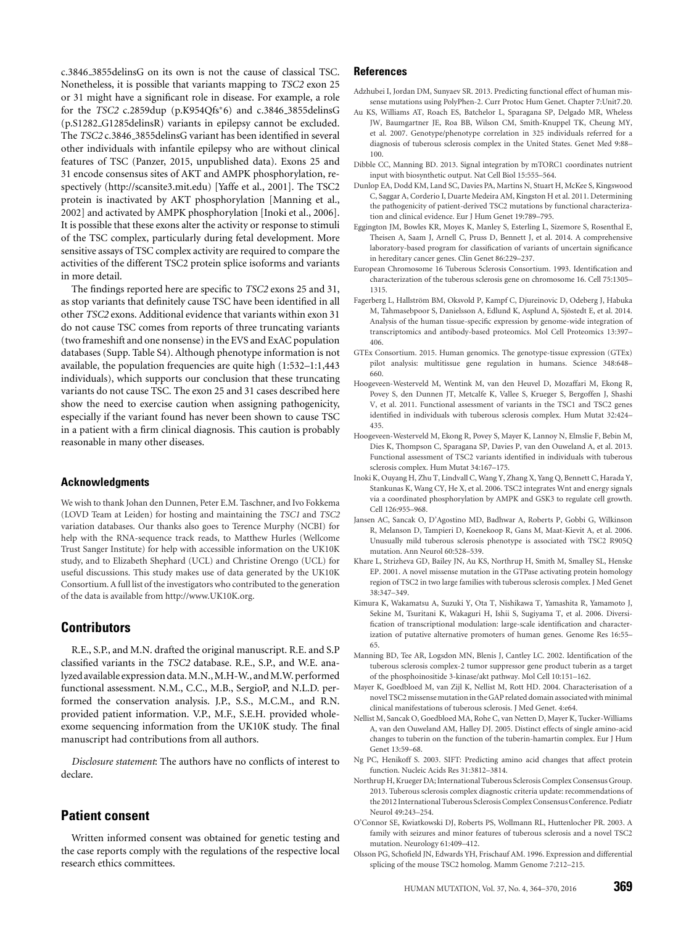c.3846 3855delinsG on its own is not the cause of classical TSC. Nonetheless, it is possible that variants mapping to *TSC2* exon 25 or 31 might have a significant role in disease. For example, a role for the *TSC2* c.2859dup (p.K954Qfs∗6) and c.3846 3855delinsG (p.S1282 G1285delinsR) variants in epilepsy cannot be excluded. The *TSC2* c.3846<sub>-</sub>3855delinsG variant has been identified in several other individuals with infantile epilepsy who are without clinical features of TSC (Panzer, 2015, unpublished data). Exons 25 and 31 encode consensus sites of AKT and AMPK phosphorylation, respectively [\(http://scansite3.mit.edu\)](http://scansite3.mit.edu) [Yaffe et al., 2001]. The TSC2 protein is inactivated by AKT phosphorylation [Manning et al., 2002] and activated by AMPK phosphorylation [Inoki et al., 2006]. It is possible that these exons alter the activity or response to stimuli of the TSC complex, particularly during fetal development. More sensitive assays of TSC complex activity are required to compare the activities of the different TSC2 protein splice isoforms and variants in more detail.

The findings reported here are specific to *TSC2* exons 25 and 31, as stop variants that definitely cause TSC have been identified in all other *TSC2* exons. Additional evidence that variants within exon 31 do not cause TSC comes from reports of three truncating variants (two frameshift and one nonsense) in the EVS and ExAC population databases (Supp. Table S4). Although phenotype information is not available, the population frequencies are quite high (1:532–1:1,443 individuals), which supports our conclusion that these truncating variants do not cause TSC. The exon 25 and 31 cases described here show the need to exercise caution when assigning pathogenicity, especially if the variant found has never been shown to cause TSC in a patient with a firm clinical diagnosis. This caution is probably reasonable in many other diseases.

#### **Acknowledgments**

We wish to thank Johan den Dunnen, Peter E.M. Taschner, and Ivo Fokkema (LOVD Team at Leiden) for hosting and maintaining the *TSC1* and *TSC2* variation databases. Our thanks also goes to Terence Murphy (NCBI) for help with the RNA-sequence track reads, to Matthew Hurles (Wellcome Trust Sanger Institute) for help with accessible information on the UK10K study, and to Elizabeth Shephard (UCL) and Christine Orengo (UCL) for useful discussions. This study makes use of data generated by the UK10K Consortium. A full list of the investigators who contributed to the generation of the data is available from [http://www.UK10K.org.](http://www.UK10K.org)

# **Contributors**

R.E., S.P., and M.N. drafted the original manuscript. R.E. and S.P classified variants in the *TSC2* database. R.E., S.P., and W.E. analyzed available expression data. M.N., M.H-W., and M.W. performed functional assessment. N.M., C.C., M.B., SergioP, and N.L.D. performed the conservation analysis. J.P., S.S., M.C.M., and R.N. provided patient information. V.P., M.F., S.E.H. provided wholeexome sequencing information from the UK10K study. The final manuscript had contributions from all authors.

*Disclosure statement*: The authors have no conflicts of interest to declare.

# **Patient consent**

Written informed consent was obtained for genetic testing and the case reports comply with the regulations of the respective local research ethics committees.

#### **References**

- Adzhubei I, Jordan DM, Sunyaev SR. 2013. Predicting functional effect of human missense mutations using PolyPhen-2. Curr Protoc Hum Genet. Chapter 7:Unit7.20.
- Au KS, Williams AT, Roach ES, Batchelor L, Sparagana SP, Delgado MR, Wheless JW, Baumgartner JE, Roa BB, Wilson CM, Smith-Knuppel TK, Cheung MY, et al. 2007. Genotype/phenotype correlation in 325 individuals referred for a diagnosis of tuberous sclerosis complex in the United States. Genet Med 9:88– 100.
- Dibble CC, Manning BD. 2013. Signal integration by mTORC1 coordinates nutrient input with biosynthetic output. Nat Cell Biol 15:555–564.
- Dunlop EA, Dodd KM, Land SC, Davies PA, Martins N, Stuart H, McKee S, Kingswood C, Saggar A, Corderio I, Duarte Medeira AM, Kingston H et al. 2011. Determining the pathogenicity of patient-derived TSC2 mutations by functional characterization and clinical evidence. Eur J Hum Genet 19:789–795.
- Eggington JM, Bowles KR, Moyes K, Manley S, Esterling L, Sizemore S, Rosenthal E, Theisen A, Saam J, Arnell C, Pruss D, Bennett J, et al. 2014. A comprehensive laboratory-based program for classification of variants of uncertain significance in hereditary cancer genes. Clin Genet 86:229–237.
- European Chromosome 16 Tuberous Sclerosis Consortium. 1993. Identification and characterization of the tuberous sclerosis gene on chromosome 16. Cell 75:1305– 1315.
- Fagerberg L, Hallström BM, Oksvold P, Kampf C, Djureinovic D, Odeberg J, Habuka M, Tahmasebpoor S, Danielsson A, Edlund K, Asplund A, Sjöstedt E, et al. 2014. Analysis of the human tissue-specific expression by genome-wide integration of transcriptomics and antibody-based proteomics. Mol Cell Proteomics 13:397– 406.
- GTEx Consortium. 2015. Human genomics. The genotype-tissue expression (GTEx) pilot analysis: multitissue gene regulation in humans. Science 348:648– 660.
- Hoogeveen-Westerveld M, Wentink M, van den Heuvel D, Mozaffari M, Ekong R, Povey S, den Dunnen JT, Metcalfe K, Vallee S, Krueger S, Bergoffen J, Shashi V, et al. 2011. Functional assessment of variants in the TSC1 and TSC2 genes identified in individuals with tuberous sclerosis complex. Hum Mutat 32:424– 435.
- Hoogeveen-Westerveld M, Ekong R, Povey S, Mayer K, Lannoy N, Elmslie F, Bebin M, Dies K, Thompson C, Sparagana SP, Davies P, van den Ouweland A, et al. 2013. Functional assessment of TSC2 variants identified in individuals with tuberous sclerosis complex. Hum Mutat 34:167–175.
- Inoki K, Ouyang H, Zhu T, Lindvall C, Wang Y, Zhang X, Yang Q, Bennett C, Harada Y, Stankunas K, Wang CY, He X, et al. 2006. TSC2 integrates Wnt and energy signals via a coordinated phosphorylation by AMPK and GSK3 to regulate cell growth. Cell 126:955–968.
- Jansen AC, Sancak O, D'Agostino MD, Badhwar A, Roberts P, Gobbi G, Wilkinson R, Melanson D, Tampieri D, Koenekoop R, Gans M, Maat-Kievit A, et al. 2006. Unusually mild tuberous sclerosis phenotype is associated with TSC2 R905Q mutation. Ann Neurol 60:528–539.
- Khare L, Strizheva GD, Bailey JN, Au KS, Northrup H, Smith M, Smalley SL, Henske EP. 2001. A novel missense mutation in the GTPase activating protein homology region of TSC2 in two large families with tuberous sclerosis complex. J Med Genet 38:347–349.
- Kimura K, Wakamatsu A, Suzuki Y, Ota T, Nishikawa T, Yamashita R, Yamamoto J, Sekine M, Tsuritani K, Wakaguri H, Ishii S, Sugiyama T, et al. 2006. Diversification of transcriptional modulation: large-scale identification and characterization of putative alternative promoters of human genes. Genome Res 16:55– 65.
- Manning BD, Tee AR, Logsdon MN, Blenis J, Cantley LC. 2002. Identification of the tuberous sclerosis complex-2 tumor suppressor gene product tuberin as a target of the phosphoinositide 3-kinase/akt pathway. Mol Cell 10:151–162.
- Mayer K, Goedbloed M, van Zijl K, Nellist M, Rott HD. 2004. Characterisation of a novel TSC2 missense mutation in the GAP related domain associated with minimal clinical manifestations of tuberous sclerosis. J Med Genet. 4:e64.
- Nellist M, Sancak O, Goedbloed MA, Rohe C, van Netten D, Mayer K, Tucker-Williams A, van den Ouweland AM, Halley DJ. 2005. Distinct effects of single amino-acid changes to tuberin on the function of the tuberin-hamartin complex. Eur J Hum Genet 13:59–68.
- Ng PC, Henikoff S. 2003. SIFT: Predicting amino acid changes that affect protein function. Nucleic Acids Res 31:3812–3814.
- Northrup H, Krueger DA; International Tuberous Sclerosis Complex Consensus Group. 2013. Tuberous sclerosis complex diagnostic criteria update: recommendations of the 2012 International Tuberous Sclerosis Complex Consensus Conference. Pediatr Neurol 49:243–254.
- O'Connor SE, Kwiatkowski DJ, Roberts PS, Wollmann RL, Huttenlocher PR. 2003. A family with seizures and minor features of tuberous sclerosis and a novel TSC2 mutation. Neurology 61:409–412.
- Olsson PG, Schofield JN, Edwards YH, Frischauf AM. 1996. Expression and differential splicing of the mouse TSC2 homolog. Mamm Genome 7:212–215.